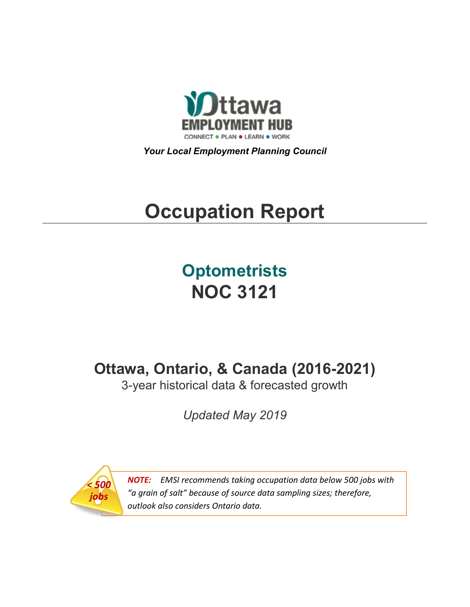

*Your Local Employment Planning Council*

# **Occupation Report**

# **Optometrists NOC 3121**

**Ottawa, Ontario, & Canada (2016-2021)**

3-year historical data & forecasted growth

*Updated May 2019*



*NOTE: EMSI recommends taking occupation data below 500 jobs with "a grain of salt" because of source data sampling sizes; therefore, outlook also considers Ontario data.*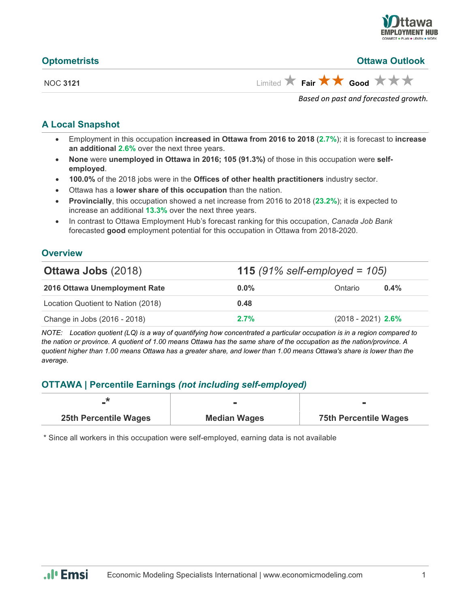

| <b>Optometrists</b> | <b>Ottawa Outlook</b>                                       |
|---------------------|-------------------------------------------------------------|
| <b>NOC 3121</b>     | Limited $\star$ Fair $\star \star$ Good $\star \star \star$ |
|                     | Based on past and forecasted growth.                        |

#### **A Local Snapshot**

- Employment in this occupation **increased in Ottawa from 2016 to 2018** (**2.7%**); it is forecast to **increase an additional 2.6%** over the next three years.
- **None** were **unemployed in Ottawa in 2016; 105 (91.3%)** of those in this occupation were **selfemployed**.
- **100.0%** of the 2018 jobs were in the **Offices of other health practitioners** industry sector.
- Ottawa has a **lower share of this occupation** than the nation.
- **Provincially**, this occupation showed a net increase from 2016 to 2018 (**23.2%**); it is expected to increase an additional **13.3%** over the next three years.
- In contrast to Ottawa Employment Hub's forecast ranking for this occupation, *Canada Job Bank*  forecasted **good** employment potential for this occupation in Ottawa from 2018-2020.

#### **Overview**

| <b>Ottawa Jobs (2018)</b>          | <b>115</b> (91% self-employed = $105$ ) |                      |         |
|------------------------------------|-----------------------------------------|----------------------|---------|
| 2016 Ottawa Unemployment Rate      | $0.0\%$                                 | Ontario              | $0.4\%$ |
| Location Quotient to Nation (2018) | 0.48                                    |                      |         |
| Change in Jobs (2016 - 2018)       | 2.7%                                    | $(2018 - 2021)$ 2.6% |         |

*NOTE: Location quotient (LQ) is a way of quantifying how concentrated a particular occupation is in a region compared to the nation or province. A quotient of 1.00 means Ottawa has the same share of the occupation as the nation/province. A quotient higher than 1.00 means Ottawa has a greater share, and lower than 1.00 means Ottawa's share is lower than the average.*

## **OTTAWA | Percentile Earnings** *(not including self-employed)*

| <b>25th Percentile Wages</b> | <b>Median Wages</b> | <b>75th Percentile Wages</b> |
|------------------------------|---------------------|------------------------------|

\* Since all workers in this occupation were self-employed, earning data is not available

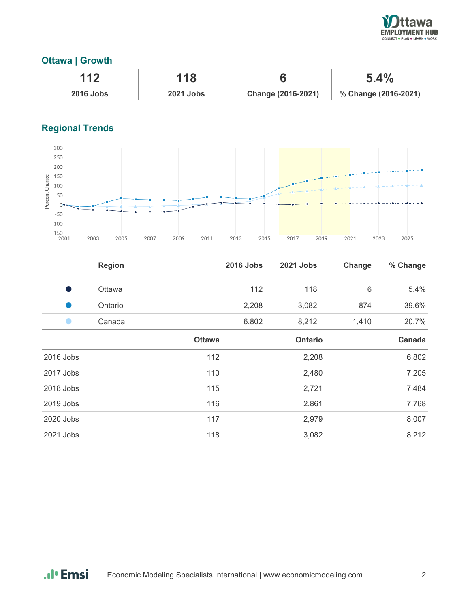

# **Ottawa | Growth**

| 112              | 118              |                    | 5.4%                 |
|------------------|------------------|--------------------|----------------------|
| <b>2016 Jobs</b> | <b>2021 Jobs</b> | Change (2016-2021) | % Change (2016-2021) |

# **Regional Trends**



|           | <b>Region</b> |               | <b>2016 Jobs</b> | <b>2021 Jobs</b> | Change | % Change |
|-----------|---------------|---------------|------------------|------------------|--------|----------|
| s,        | Ottawa        |               | 112              | 118              | 6      | 5.4%     |
|           | Ontario       |               | 2,208            | 3,082            | 874    | 39.6%    |
|           | Canada        |               | 6,802            | 8,212            | 1,410  | 20.7%    |
|           |               | <b>Ottawa</b> |                  | <b>Ontario</b>   |        | Canada   |
| 2016 Jobs |               | 112           |                  | 2,208            |        | 6,802    |
| 2017 Jobs |               | 110           |                  | 2,480            |        | 7,205    |
| 2018 Jobs |               | 115           |                  | 2,721            |        | 7,484    |
| 2019 Jobs |               | 116           |                  | 2,861            |        | 7,768    |
| 2020 Jobs |               | 117           |                  | 2,979            |        | 8,007    |
| 2021 Jobs |               | 118           |                  | 3,082            |        | 8,212    |

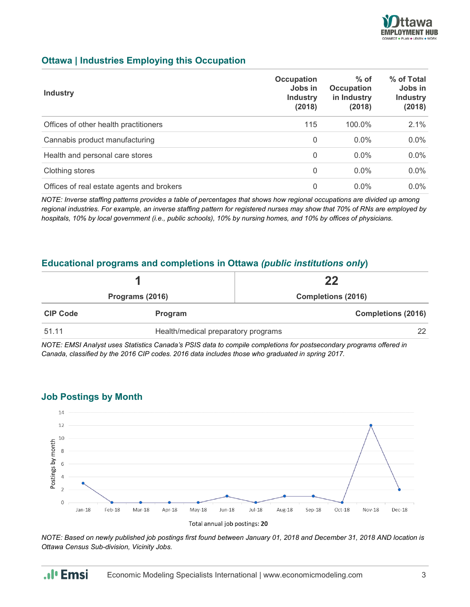

### **Ottawa | Industries Employing this Occupation**

| <b>Industry</b>                           | Occupation<br>Jobs in<br><b>Industry</b><br>(2018) | $%$ of<br>Occupation<br>in Industry<br>(2018) | % of Total<br>Jobs in<br><b>Industry</b><br>(2018) |
|-------------------------------------------|----------------------------------------------------|-----------------------------------------------|----------------------------------------------------|
| Offices of other health practitioners     | 115                                                | 100.0%                                        | 2.1%                                               |
| Cannabis product manufacturing            | $\mathbf{0}$                                       | $0.0\%$                                       | 0.0%                                               |
| Health and personal care stores           | $\Omega$                                           | $0.0\%$                                       | $0.0\%$                                            |
| Clothing stores                           | $\mathbf{0}$                                       | $0.0\%$                                       | $0.0\%$                                            |
| Offices of real estate agents and brokers | 0                                                  | $0.0\%$                                       | $0.0\%$                                            |

*NOTE: Inverse staffing patterns provides a table of percentages that shows how regional occupations are divided up among regional industries. For example, an inverse staffing pattern for registered nurses may show that 70% of RNs are employed by hospitals, 10% by local government (i.e., public schools), 10% by nursing homes, and 10% by offices of physicians.*

#### **Educational programs and completions in Ottawa** *(public institutions only***)**

|                 |                                     | 22                        |  |
|-----------------|-------------------------------------|---------------------------|--|
| Programs (2016) |                                     | <b>Completions (2016)</b> |  |
| <b>CIP Code</b> | Program                             | <b>Completions (2016)</b> |  |
| 51.11           | Health/medical preparatory programs | 22                        |  |

*NOTE: EMSI Analyst uses Statistics Canada's PSIS data to compile completions for postsecondary programs offered in Canada, classified by the 2016 CIP codes. 2016 data includes those who graduated in spring 2017.*

#### **Job Postings by Month**

.**.**I<sub>I</sub> Emsi



*NOTE: Based on newly published job postings first found between January 01, 2018 and December 31, 2018 AND location is Ottawa Census Sub-division, Vicinity Jobs.*